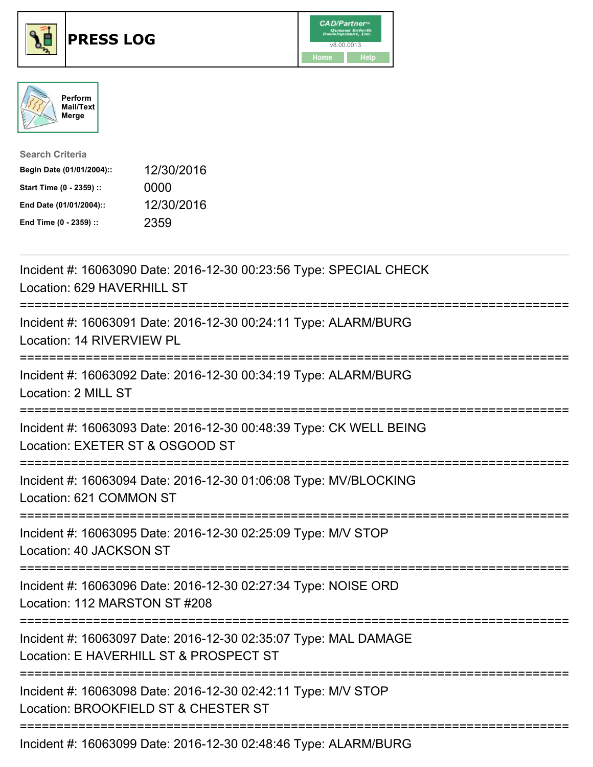





| <b>Search Criteria</b>    |            |
|---------------------------|------------|
| Begin Date (01/01/2004):: | 12/30/2016 |
| Start Time (0 - 2359) ::  | 0000       |
| End Date (01/01/2004)::   | 12/30/2016 |
| End Time (0 - 2359) ::    | 2359       |

| Incident #: 16063090 Date: 2016-12-30 00:23:56 Type: SPECIAL CHECK<br>Location: 629 HAVERHILL ST          |
|-----------------------------------------------------------------------------------------------------------|
| Incident #: 16063091 Date: 2016-12-30 00:24:11 Type: ALARM/BURG<br>Location: 14 RIVERVIEW PL              |
| Incident #: 16063092 Date: 2016-12-30 00:34:19 Type: ALARM/BURG<br>Location: 2 MILL ST                    |
| Incident #: 16063093 Date: 2016-12-30 00:48:39 Type: CK WELL BEING<br>Location: EXETER ST & OSGOOD ST     |
| Incident #: 16063094 Date: 2016-12-30 01:06:08 Type: MV/BLOCKING<br>Location: 621 COMMON ST               |
| Incident #: 16063095 Date: 2016-12-30 02:25:09 Type: M/V STOP<br>Location: 40 JACKSON ST                  |
| Incident #: 16063096 Date: 2016-12-30 02:27:34 Type: NOISE ORD<br>Location: 112 MARSTON ST #208           |
| Incident #: 16063097 Date: 2016-12-30 02:35:07 Type: MAL DAMAGE<br>Location: E HAVERHILL ST & PROSPECT ST |
| Incident #: 16063098 Date: 2016-12-30 02:42:11 Type: M/V STOP<br>Location: BROOKFIELD ST & CHESTER ST     |
| Incident #: 16063099 Date: 2016-12-30 02:48:46 Type: ALARM/BURG                                           |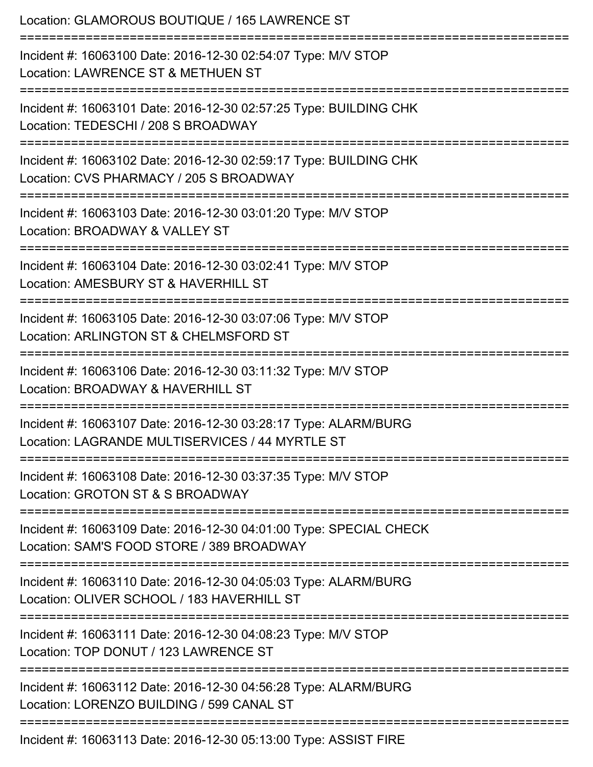| Location: GLAMOROUS BOUTIQUE / 165 LAWRENCE ST<br>===========================<br>==============================                      |
|--------------------------------------------------------------------------------------------------------------------------------------|
| Incident #: 16063100 Date: 2016-12-30 02:54:07 Type: M/V STOP<br>Location: LAWRENCE ST & METHUEN ST<br>:============================ |
| Incident #: 16063101 Date: 2016-12-30 02:57:25 Type: BUILDING CHK<br>Location: TEDESCHI / 208 S BROADWAY                             |
| Incident #: 16063102 Date: 2016-12-30 02:59:17 Type: BUILDING CHK<br>Location: CVS PHARMACY / 205 S BROADWAY                         |
| Incident #: 16063103 Date: 2016-12-30 03:01:20 Type: M/V STOP<br>Location: BROADWAY & VALLEY ST                                      |
| Incident #: 16063104 Date: 2016-12-30 03:02:41 Type: M/V STOP<br>Location: AMESBURY ST & HAVERHILL ST<br>:======================     |
| Incident #: 16063105 Date: 2016-12-30 03:07:06 Type: M/V STOP<br>Location: ARLINGTON ST & CHELMSFORD ST                              |
| Incident #: 16063106 Date: 2016-12-30 03:11:32 Type: M/V STOP<br>Location: BROADWAY & HAVERHILL ST                                   |
| Incident #: 16063107 Date: 2016-12-30 03:28:17 Type: ALARM/BURG<br>Location: LAGRANDE MULTISERVICES / 44 MYRTLE ST                   |
| Incident #: 16063108 Date: 2016-12-30 03:37:35 Type: M/V STOP<br>Location: GROTON ST & S BROADWAY                                    |
| Incident #: 16063109 Date: 2016-12-30 04:01:00 Type: SPECIAL CHECK<br>Location: SAM'S FOOD STORE / 389 BROADWAY                      |
| Incident #: 16063110 Date: 2016-12-30 04:05:03 Type: ALARM/BURG<br>Location: OLIVER SCHOOL / 183 HAVERHILL ST                        |
| Incident #: 16063111 Date: 2016-12-30 04:08:23 Type: M/V STOP<br>Location: TOP DONUT / 123 LAWRENCE ST                               |
| Incident #: 16063112 Date: 2016-12-30 04:56:28 Type: ALARM/BURG<br>Location: LORENZO BUILDING / 599 CANAL ST                         |
| Incident #: 16063113 Date: 2016-12-30 05:13:00 Type: ASSIST FIRE                                                                     |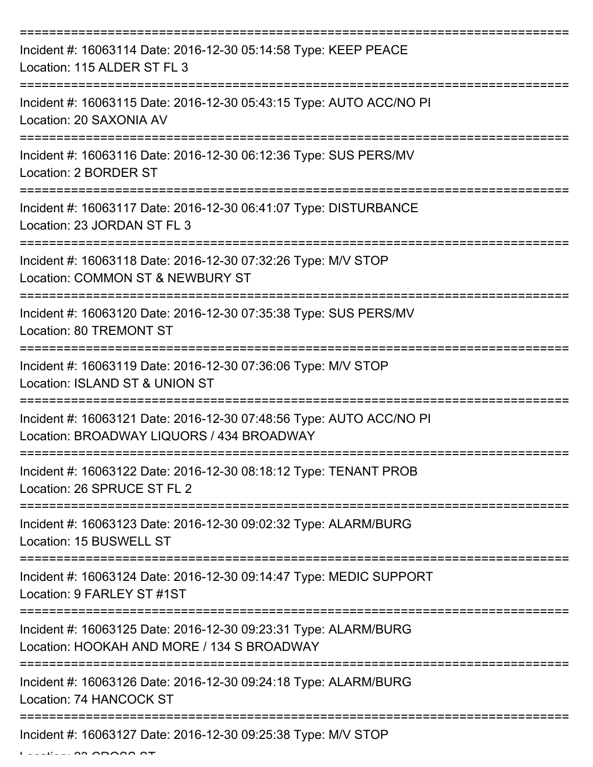| Incident #: 16063114 Date: 2016-12-30 05:14:58 Type: KEEP PEACE<br>Location: 115 ALDER ST FL 3                            |
|---------------------------------------------------------------------------------------------------------------------------|
| Incident #: 16063115 Date: 2016-12-30 05:43:15 Type: AUTO ACC/NO PI<br>Location: 20 SAXONIA AV                            |
| Incident #: 16063116 Date: 2016-12-30 06:12:36 Type: SUS PERS/MV<br>Location: 2 BORDER ST                                 |
| Incident #: 16063117 Date: 2016-12-30 06:41:07 Type: DISTURBANCE<br>Location: 23 JORDAN ST FL 3                           |
| Incident #: 16063118 Date: 2016-12-30 07:32:26 Type: M/V STOP<br>Location: COMMON ST & NEWBURY ST<br>==================== |
| Incident #: 16063120 Date: 2016-12-30 07:35:38 Type: SUS PERS/MV<br><b>Location: 80 TREMONT ST</b>                        |
| Incident #: 16063119 Date: 2016-12-30 07:36:06 Type: M/V STOP<br>Location: ISLAND ST & UNION ST                           |
| Incident #: 16063121 Date: 2016-12-30 07:48:56 Type: AUTO ACC/NO PI<br>Location: BROADWAY LIQUORS / 434 BROADWAY          |
| Incident #: 16063122 Date: 2016-12-30 08:18:12 Type: TENANT PROB<br>Location: 26 SPRUCE ST FL 2                           |
| Incident #: 16063123 Date: 2016-12-30 09:02:32 Type: ALARM/BURG<br>Location: 15 BUSWELL ST                                |
| Incident #: 16063124 Date: 2016-12-30 09:14:47 Type: MEDIC SUPPORT<br>Location: 9 FARLEY ST #1ST                          |
| Incident #: 16063125 Date: 2016-12-30 09:23:31 Type: ALARM/BURG<br>Location: HOOKAH AND MORE / 134 S BROADWAY             |
| Incident #: 16063126 Date: 2016-12-30 09:24:18 Type: ALARM/BURG<br>Location: 74 HANCOCK ST                                |
| Incident #: 16063127 Date: 2016-12-30 09:25:38 Type: M/V STOP                                                             |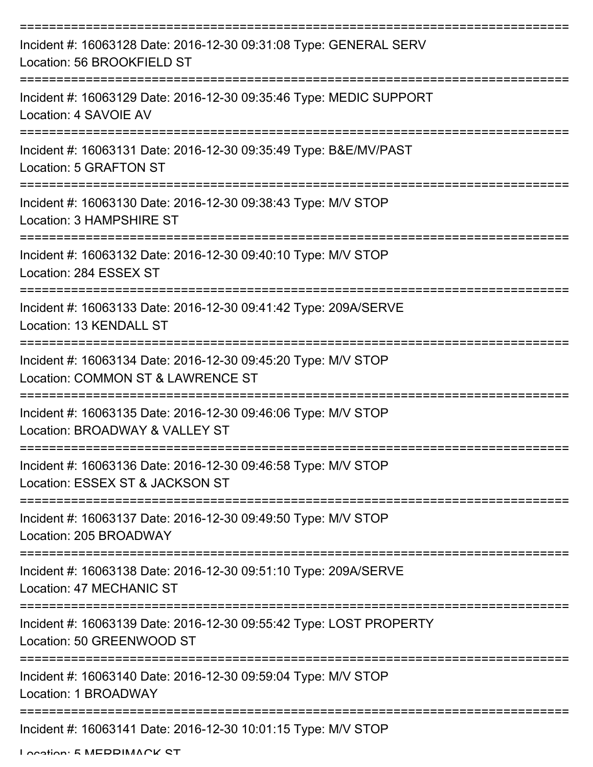| Incident #: 16063128 Date: 2016-12-30 09:31:08 Type: GENERAL SERV<br>Location: 56 BROOKFIELD ST    |
|----------------------------------------------------------------------------------------------------|
| Incident #: 16063129 Date: 2016-12-30 09:35:46 Type: MEDIC SUPPORT<br>Location: 4 SAVOIE AV        |
| Incident #: 16063131 Date: 2016-12-30 09:35:49 Type: B&E/MV/PAST<br>Location: 5 GRAFTON ST         |
| Incident #: 16063130 Date: 2016-12-30 09:38:43 Type: M/V STOP<br>Location: 3 HAMPSHIRE ST          |
| Incident #: 16063132 Date: 2016-12-30 09:40:10 Type: M/V STOP<br>Location: 284 ESSEX ST            |
| Incident #: 16063133 Date: 2016-12-30 09:41:42 Type: 209A/SERVE<br>Location: 13 KENDALL ST         |
| Incident #: 16063134 Date: 2016-12-30 09:45:20 Type: M/V STOP<br>Location: COMMON ST & LAWRENCE ST |
| Incident #: 16063135 Date: 2016-12-30 09:46:06 Type: M/V STOP<br>Location: BROADWAY & VALLEY ST    |
| Incident #: 16063136 Date: 2016-12-30 09:46:58 Type: M/V STOP<br>Location: ESSEX ST & JACKSON ST   |
| Incident #: 16063137 Date: 2016-12-30 09:49:50 Type: M/V STOP<br>Location: 205 BROADWAY            |
| Incident #: 16063138 Date: 2016-12-30 09:51:10 Type: 209A/SERVE<br>Location: 47 MECHANIC ST        |
| Incident #: 16063139 Date: 2016-12-30 09:55:42 Type: LOST PROPERTY<br>Location: 50 GREENWOOD ST    |
| Incident #: 16063140 Date: 2016-12-30 09:59:04 Type: M/V STOP<br>Location: 1 BROADWAY              |
| Incident #: 16063141 Date: 2016-12-30 10:01:15 Type: M/V STOP                                      |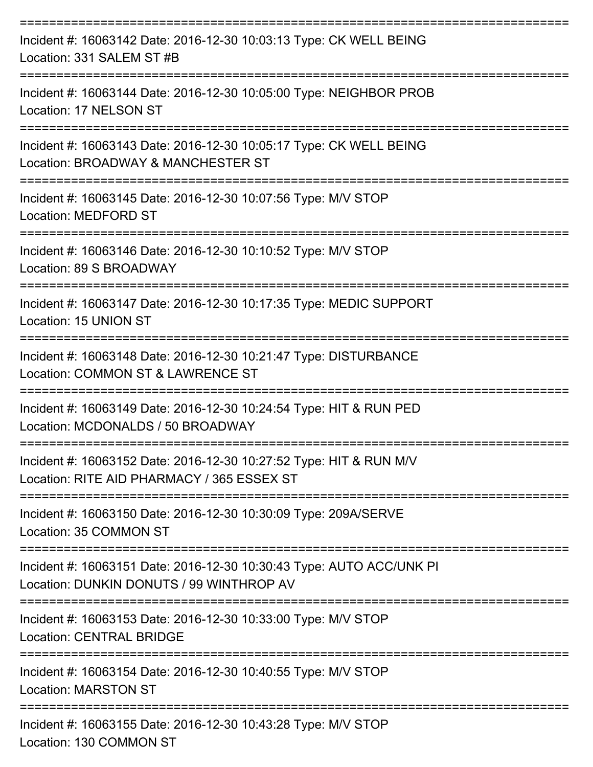| Incident #: 16063142 Date: 2016-12-30 10:03:13 Type: CK WELL BEING<br>Location: 331 SALEM ST #B                  |
|------------------------------------------------------------------------------------------------------------------|
| Incident #: 16063144 Date: 2016-12-30 10:05:00 Type: NEIGHBOR PROB<br>Location: 17 NELSON ST                     |
| Incident #: 16063143 Date: 2016-12-30 10:05:17 Type: CK WELL BEING<br>Location: BROADWAY & MANCHESTER ST         |
| Incident #: 16063145 Date: 2016-12-30 10:07:56 Type: M/V STOP<br>Location: MEDFORD ST                            |
| Incident #: 16063146 Date: 2016-12-30 10:10:52 Type: M/V STOP<br>Location: 89 S BROADWAY                         |
| Incident #: 16063147 Date: 2016-12-30 10:17:35 Type: MEDIC SUPPORT<br>Location: 15 UNION ST                      |
| Incident #: 16063148 Date: 2016-12-30 10:21:47 Type: DISTURBANCE<br>Location: COMMON ST & LAWRENCE ST            |
| Incident #: 16063149 Date: 2016-12-30 10:24:54 Type: HIT & RUN PED<br>Location: MCDONALDS / 50 BROADWAY          |
| Incident #: 16063152 Date: 2016-12-30 10:27:52 Type: HIT & RUN M/V<br>Location: RITE AID PHARMACY / 365 ESSEX ST |
| Incident #: 16063150 Date: 2016-12-30 10:30:09 Type: 209A/SERVE<br>Location: 35 COMMON ST                        |
| Incident #: 16063151 Date: 2016-12-30 10:30:43 Type: AUTO ACC/UNK PI<br>Location: DUNKIN DONUTS / 99 WINTHROP AV |
| Incident #: 16063153 Date: 2016-12-30 10:33:00 Type: M/V STOP<br><b>Location: CENTRAL BRIDGE</b>                 |
| Incident #: 16063154 Date: 2016-12-30 10:40:55 Type: M/V STOP<br><b>Location: MARSTON ST</b>                     |
| Incident #: 16063155 Date: 2016-12-30 10:43:28 Type: M/V STOP<br>Location: 130 COMMON ST                         |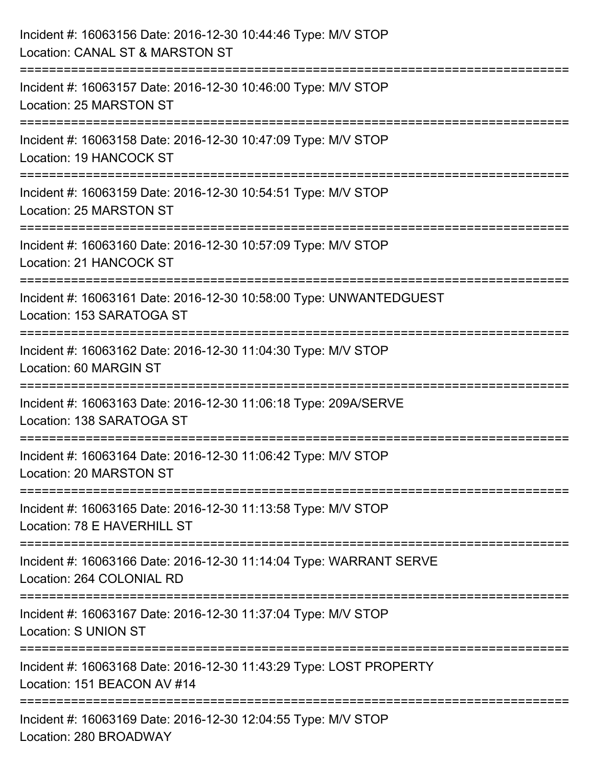| Incident #: 16063156 Date: 2016-12-30 10:44:46 Type: M/V STOP<br>Location: CANAL ST & MARSTON ST  |
|---------------------------------------------------------------------------------------------------|
| Incident #: 16063157 Date: 2016-12-30 10:46:00 Type: M/V STOP<br>Location: 25 MARSTON ST          |
| Incident #: 16063158 Date: 2016-12-30 10:47:09 Type: M/V STOP<br>Location: 19 HANCOCK ST          |
| Incident #: 16063159 Date: 2016-12-30 10:54:51 Type: M/V STOP<br>Location: 25 MARSTON ST          |
| Incident #: 16063160 Date: 2016-12-30 10:57:09 Type: M/V STOP<br>Location: 21 HANCOCK ST          |
| Incident #: 16063161 Date: 2016-12-30 10:58:00 Type: UNWANTEDGUEST<br>Location: 153 SARATOGA ST   |
| Incident #: 16063162 Date: 2016-12-30 11:04:30 Type: M/V STOP<br>Location: 60 MARGIN ST           |
| Incident #: 16063163 Date: 2016-12-30 11:06:18 Type: 209A/SERVE<br>Location: 138 SARATOGA ST      |
| Incident #: 16063164 Date: 2016-12-30 11:06:42 Type: M/V STOP<br>Location: 20 MARSTON ST          |
| Incident #: 16063165 Date: 2016-12-30 11:13:58 Type: M/V STOP<br>Location: 78 E HAVERHILL ST      |
| Incident #: 16063166 Date: 2016-12-30 11:14:04 Type: WARRANT SERVE<br>Location: 264 COLONIAL RD   |
| Incident #: 16063167 Date: 2016-12-30 11:37:04 Type: M/V STOP<br><b>Location: S UNION ST</b>      |
| Incident #: 16063168 Date: 2016-12-30 11:43:29 Type: LOST PROPERTY<br>Location: 151 BEACON AV #14 |
| Incident #: 16063169 Date: 2016-12-30 12:04:55 Type: M/V STOP<br>Location: 280 BROADWAY           |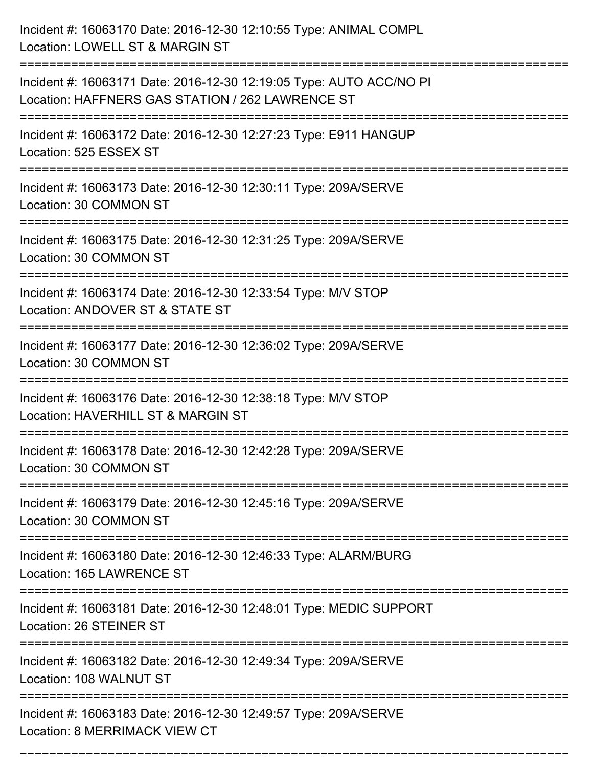| Incident #: 16063170 Date: 2016-12-30 12:10:55 Type: ANIMAL COMPL<br>Location: LOWELL ST & MARGIN ST                           |
|--------------------------------------------------------------------------------------------------------------------------------|
| Incident #: 16063171 Date: 2016-12-30 12:19:05 Type: AUTO ACC/NO PI<br>Location: HAFFNERS GAS STATION / 262 LAWRENCE ST        |
| Incident #: 16063172 Date: 2016-12-30 12:27:23 Type: E911 HANGUP<br>Location: 525 ESSEX ST                                     |
| Incident #: 16063173 Date: 2016-12-30 12:30:11 Type: 209A/SERVE<br>Location: 30 COMMON ST                                      |
| Incident #: 16063175 Date: 2016-12-30 12:31:25 Type: 209A/SERVE<br>Location: 30 COMMON ST                                      |
| Incident #: 16063174 Date: 2016-12-30 12:33:54 Type: M/V STOP<br>Location: ANDOVER ST & STATE ST                               |
| Incident #: 16063177 Date: 2016-12-30 12:36:02 Type: 209A/SERVE<br>Location: 30 COMMON ST                                      |
| Incident #: 16063176 Date: 2016-12-30 12:38:18 Type: M/V STOP<br>Location: HAVERHILL ST & MARGIN ST                            |
| Incident #: 16063178 Date: 2016-12-30 12:42:28 Type: 209A/SERVE<br>Location: 30 COMMON ST                                      |
| Incident #: 16063179 Date: 2016-12-30 12:45:16 Type: 209A/SERVE<br>Location: 30 COMMON ST<br>--------------------------------- |
| Incident #: 16063180 Date: 2016-12-30 12:46:33 Type: ALARM/BURG<br>Location: 165 LAWRENCE ST                                   |
| Incident #: 16063181 Date: 2016-12-30 12:48:01 Type: MEDIC SUPPORT<br>Location: 26 STEINER ST                                  |
| Incident #: 16063182 Date: 2016-12-30 12:49:34 Type: 209A/SERVE<br>Location: 108 WALNUT ST                                     |
| Incident #: 16063183 Date: 2016-12-30 12:49:57 Type: 209A/SERVE<br>Location: 8 MERRIMACK VIEW CT                               |

===========================================================================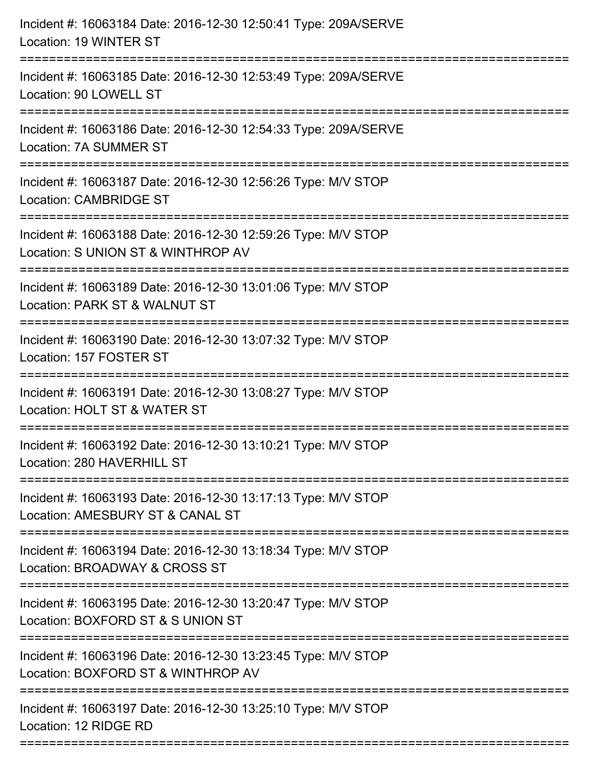| Incident #: 16063184 Date: 2016-12-30 12:50:41 Type: 209A/SERVE<br>Location: 19 WINTER ST                                          |
|------------------------------------------------------------------------------------------------------------------------------------|
| Incident #: 16063185 Date: 2016-12-30 12:53:49 Type: 209A/SERVE<br>Location: 90 LOWELL ST                                          |
| Incident #: 16063186 Date: 2016-12-30 12:54:33 Type: 209A/SERVE<br>Location: 7A SUMMER ST                                          |
| Incident #: 16063187 Date: 2016-12-30 12:56:26 Type: M/V STOP<br><b>Location: CAMBRIDGE ST</b>                                     |
| Incident #: 16063188 Date: 2016-12-30 12:59:26 Type: M/V STOP<br>Location: S UNION ST & WINTHROP AV<br>:========================== |
| Incident #: 16063189 Date: 2016-12-30 13:01:06 Type: M/V STOP<br>Location: PARK ST & WALNUT ST                                     |
| Incident #: 16063190 Date: 2016-12-30 13:07:32 Type: M/V STOP<br>Location: 157 FOSTER ST                                           |
| Incident #: 16063191 Date: 2016-12-30 13:08:27 Type: M/V STOP<br>Location: HOLT ST & WATER ST                                      |
| Incident #: 16063192 Date: 2016-12-30 13:10:21 Type: M/V STOP<br>Location: 280 HAVERHILL ST                                        |
| Incident #: 16063193 Date: 2016-12-30 13:17:13 Type: M/V STOP<br>Location: AMESBURY ST & CANAL ST                                  |
| Incident #: 16063194 Date: 2016-12-30 13:18:34 Type: M/V STOP<br>Location: BROADWAY & CROSS ST                                     |
| Incident #: 16063195 Date: 2016-12-30 13:20:47 Type: M/V STOP<br>Location: BOXFORD ST & S UNION ST                                 |
| Incident #: 16063196 Date: 2016-12-30 13:23:45 Type: M/V STOP<br>Location: BOXFORD ST & WINTHROP AV                                |
| Incident #: 16063197 Date: 2016-12-30 13:25:10 Type: M/V STOP<br>Location: 12 RIDGE RD                                             |
|                                                                                                                                    |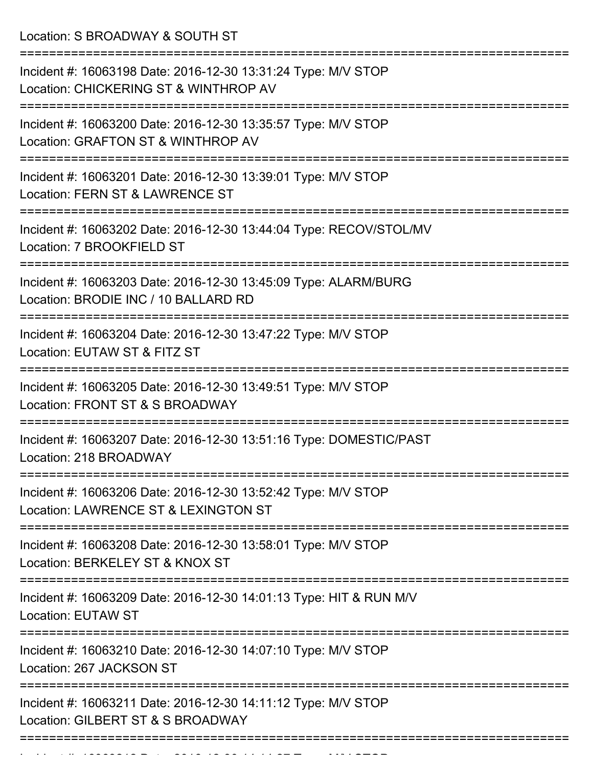Location: S BROADWAY & SOUTH ST

| Incident #: 16063198 Date: 2016-12-30 13:31:24 Type: M/V STOP<br>Location: CHICKERING ST & WINTHROP AV            |
|-------------------------------------------------------------------------------------------------------------------|
| Incident #: 16063200 Date: 2016-12-30 13:35:57 Type: M/V STOP<br>Location: GRAFTON ST & WINTHROP AV               |
| Incident #: 16063201 Date: 2016-12-30 13:39:01 Type: M/V STOP<br>Location: FERN ST & LAWRENCE ST                  |
| Incident #: 16063202 Date: 2016-12-30 13:44:04 Type: RECOV/STOL/MV<br>Location: 7 BROOKFIELD ST<br>-------------- |
| Incident #: 16063203 Date: 2016-12-30 13:45:09 Type: ALARM/BURG<br>Location: BRODIE INC / 10 BALLARD RD           |
| Incident #: 16063204 Date: 2016-12-30 13:47:22 Type: M/V STOP<br>Location: EUTAW ST & FITZ ST                     |
| Incident #: 16063205 Date: 2016-12-30 13:49:51 Type: M/V STOP<br>Location: FRONT ST & S BROADWAY                  |
| Incident #: 16063207 Date: 2016-12-30 13:51:16 Type: DOMESTIC/PAST<br>Location: 218 BROADWAY                      |
| Incident #: 16063206 Date: 2016-12-30 13:52:42 Type: M/V STOP<br>Location: LAWRENCE ST & LEXINGTON ST             |
| Incident #: 16063208 Date: 2016-12-30 13:58:01 Type: M/V STOP<br>Location: BERKELEY ST & KNOX ST                  |
| Incident #: 16063209 Date: 2016-12-30 14:01:13 Type: HIT & RUN M/V<br><b>Location: EUTAW ST</b>                   |
| Incident #: 16063210 Date: 2016-12-30 14:07:10 Type: M/V STOP<br>Location: 267 JACKSON ST                         |
| Incident #: 16063211 Date: 2016-12-30 14:11:12 Type: M/V STOP<br>Location: GILBERT ST & S BROADWAY                |
|                                                                                                                   |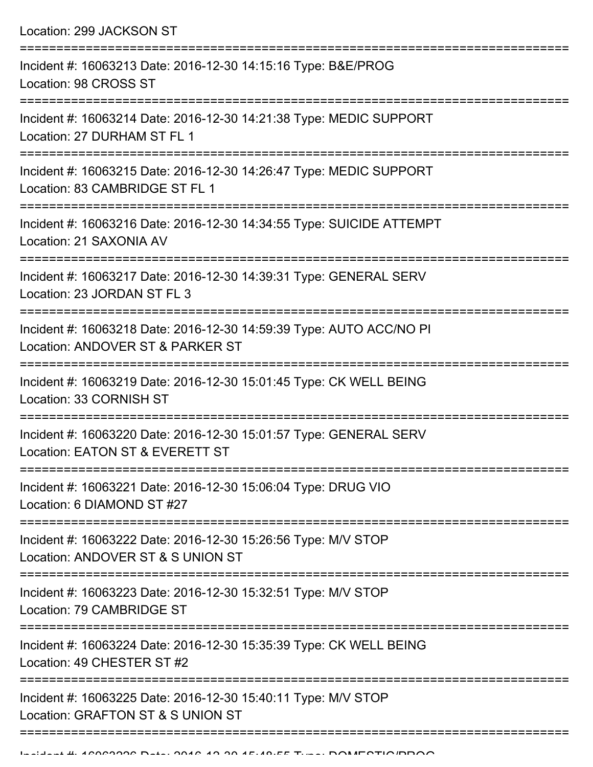Location: 299 JACKSON ST =========================================================================== Incident #: 16063213 Date: 2016-12-30 14:15:16 Type: B&E/PROG Location: 98 CROSS ST =========================================================================== Incident #: 16063214 Date: 2016-12-30 14:21:38 Type: MEDIC SUPPORT Location: 27 DURHAM ST FL 1 =========================================================================== Incident #: 16063215 Date: 2016-12-30 14:26:47 Type: MEDIC SUPPORT Location: 83 CAMBRIDGE ST FL 1 =========================================================================== Incident #: 16063216 Date: 2016-12-30 14:34:55 Type: SUICIDE ATTEMPT Location: 21 SAXONIA AV =========================================================================== Incident #: 16063217 Date: 2016-12-30 14:39:31 Type: GENERAL SERV Location: 23 JORDAN ST FL 3 =========================================================================== Incident #: 16063218 Date: 2016-12-30 14:59:39 Type: AUTO ACC/NO PI Location: ANDOVER ST & PARKER ST =========================================================================== Incident #: 16063219 Date: 2016-12-30 15:01:45 Type: CK WELL BEING Location: 33 CORNISH ST =========================================================================== Incident #: 16063220 Date: 2016-12-30 15:01:57 Type: GENERAL SERV Location: EATON ST & EVERETT ST =========================================================================== Incident #: 16063221 Date: 2016-12-30 15:06:04 Type: DRUG VIO Location: 6 DIAMOND ST #27 =========================================================================== Incident #: 16063222 Date: 2016-12-30 15:26:56 Type: M/V STOP Location: ANDOVER ST & S UNION ST =========================================================================== Incident #: 16063223 Date: 2016-12-30 15:32:51 Type: M/V STOP Location: 79 CAMBRIDGE ST =========================================================================== Incident #: 16063224 Date: 2016-12-30 15:35:39 Type: CK WELL BEING Location: 49 CHESTER ST #2 =========================================================================== Incident #: 16063225 Date: 2016-12-30 15:40:11 Type: M/V STOP Location: GRAFTON ST & S UNION ST

=============================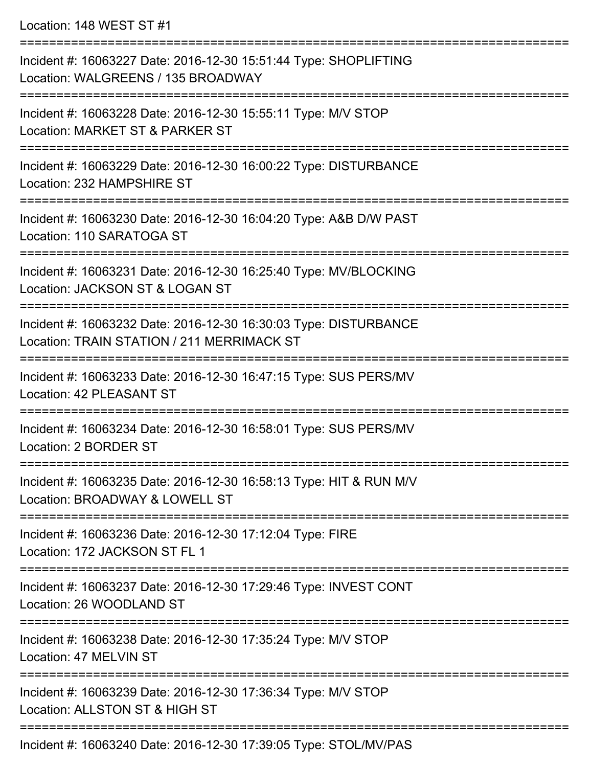Location: 148 WEST ST #1

| Incident #: 16063227 Date: 2016-12-30 15:51:44 Type: SHOPLIFTING<br>Location: WALGREENS / 135 BROADWAY         |
|----------------------------------------------------------------------------------------------------------------|
| Incident #: 16063228 Date: 2016-12-30 15:55:11 Type: M/V STOP<br>Location: MARKET ST & PARKER ST               |
| Incident #: 16063229 Date: 2016-12-30 16:00:22 Type: DISTURBANCE<br>Location: 232 HAMPSHIRE ST                 |
| Incident #: 16063230 Date: 2016-12-30 16:04:20 Type: A&B D/W PAST<br>Location: 110 SARATOGA ST                 |
| Incident #: 16063231 Date: 2016-12-30 16:25:40 Type: MV/BLOCKING<br>Location: JACKSON ST & LOGAN ST            |
| Incident #: 16063232 Date: 2016-12-30 16:30:03 Type: DISTURBANCE<br>Location: TRAIN STATION / 211 MERRIMACK ST |
| Incident #: 16063233 Date: 2016-12-30 16:47:15 Type: SUS PERS/MV<br>Location: 42 PLEASANT ST                   |
| Incident #: 16063234 Date: 2016-12-30 16:58:01 Type: SUS PERS/MV<br>Location: 2 BORDER ST                      |
| Incident #: 16063235 Date: 2016-12-30 16:58:13 Type: HIT & RUN M/V<br>Location: BROADWAY & LOWELL ST           |
| Incident #: 16063236 Date: 2016-12-30 17:12:04 Type: FIRE<br>Location: 172 JACKSON ST FL 1                     |
| Incident #: 16063237 Date: 2016-12-30 17:29:46 Type: INVEST CONT<br>Location: 26 WOODLAND ST                   |
| Incident #: 16063238 Date: 2016-12-30 17:35:24 Type: M/V STOP<br>Location: 47 MELVIN ST                        |
| Incident #: 16063239 Date: 2016-12-30 17:36:34 Type: M/V STOP<br>Location: ALLSTON ST & HIGH ST                |
| Incident #: 16063240 Date: 2016-12-30 17:39:05 Type: STOL/MV/PAS                                               |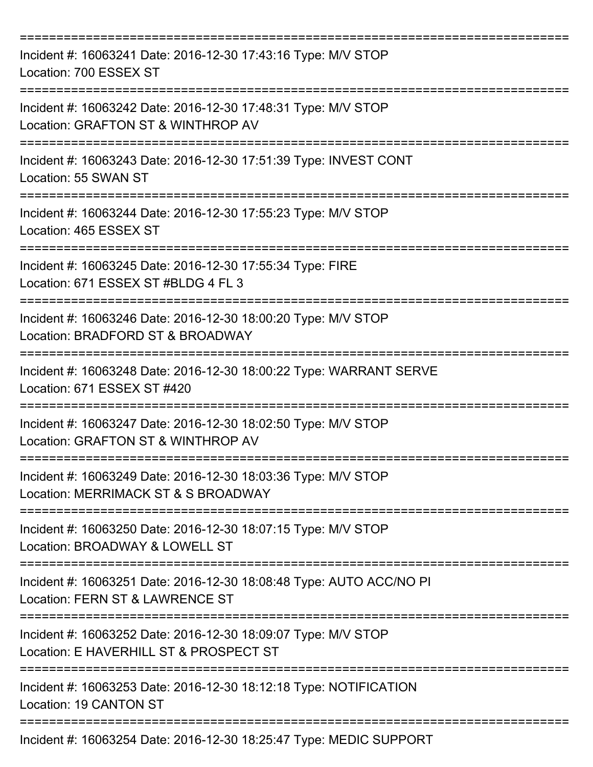| Incident #: 16063241 Date: 2016-12-30 17:43:16 Type: M/V STOP<br>Location: 700 ESSEX ST                 |
|---------------------------------------------------------------------------------------------------------|
| Incident #: 16063242 Date: 2016-12-30 17:48:31 Type: M/V STOP<br>Location: GRAFTON ST & WINTHROP AV     |
| Incident #: 16063243 Date: 2016-12-30 17:51:39 Type: INVEST CONT<br>Location: 55 SWAN ST                |
| Incident #: 16063244 Date: 2016-12-30 17:55:23 Type: M/V STOP<br>Location: 465 ESSEX ST                 |
| Incident #: 16063245 Date: 2016-12-30 17:55:34 Type: FIRE<br>Location: 671 ESSEX ST #BLDG 4 FL 3        |
| Incident #: 16063246 Date: 2016-12-30 18:00:20 Type: M/V STOP<br>Location: BRADFORD ST & BROADWAY       |
| Incident #: 16063248 Date: 2016-12-30 18:00:22 Type: WARRANT SERVE<br>Location: 671 ESSEX ST #420       |
| Incident #: 16063247 Date: 2016-12-30 18:02:50 Type: M/V STOP<br>Location: GRAFTON ST & WINTHROP AV     |
| Incident #: 16063249 Date: 2016-12-30 18:03:36 Type: M/V STOP<br>Location: MERRIMACK ST & S BROADWAY    |
| Incident #: 16063250 Date: 2016-12-30 18:07:15 Type: M/V STOP<br>Location: BROADWAY & LOWELL ST         |
| Incident #: 16063251 Date: 2016-12-30 18:08:48 Type: AUTO ACC/NO PI<br>Location: FERN ST & LAWRENCE ST  |
| Incident #: 16063252 Date: 2016-12-30 18:09:07 Type: M/V STOP<br>Location: E HAVERHILL ST & PROSPECT ST |
| Incident #: 16063253 Date: 2016-12-30 18:12:18 Type: NOTIFICATION<br>Location: 19 CANTON ST             |
| Incident #: 16063254 Date: 2016-12-30 18:25:47 Type: MEDIC SUPPORT                                      |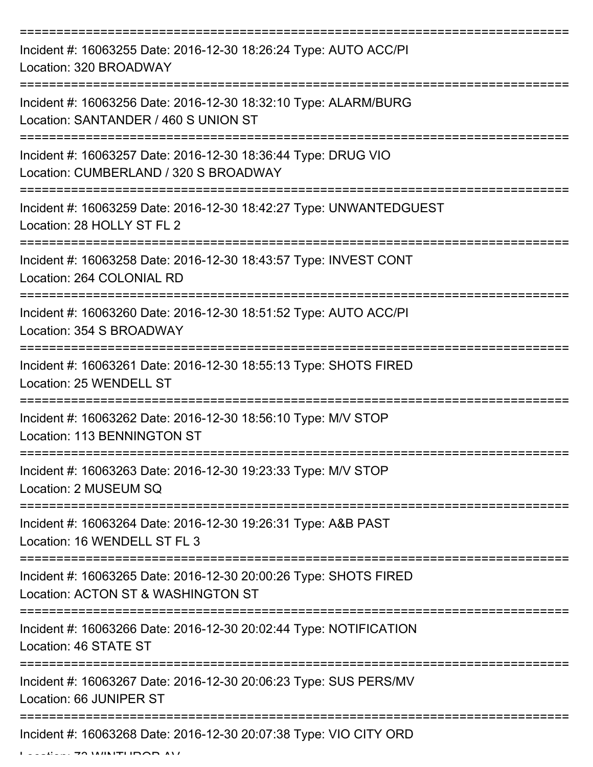| Incident #: 16063255 Date: 2016-12-30 18:26:24 Type: AUTO ACC/PI<br>Location: 320 BROADWAY              |
|---------------------------------------------------------------------------------------------------------|
| Incident #: 16063256 Date: 2016-12-30 18:32:10 Type: ALARM/BURG<br>Location: SANTANDER / 460 S UNION ST |
| Incident #: 16063257 Date: 2016-12-30 18:36:44 Type: DRUG VIO<br>Location: CUMBERLAND / 320 S BROADWAY  |
| Incident #: 16063259 Date: 2016-12-30 18:42:27 Type: UNWANTEDGUEST<br>Location: 28 HOLLY ST FL 2        |
| Incident #: 16063258 Date: 2016-12-30 18:43:57 Type: INVEST CONT<br>Location: 264 COLONIAL RD           |
| Incident #: 16063260 Date: 2016-12-30 18:51:52 Type: AUTO ACC/PI<br>Location: 354 S BROADWAY            |
| Incident #: 16063261 Date: 2016-12-30 18:55:13 Type: SHOTS FIRED<br>Location: 25 WENDELL ST             |
| Incident #: 16063262 Date: 2016-12-30 18:56:10 Type: M/V STOP<br>Location: 113 BENNINGTON ST            |
| Incident #: 16063263 Date: 2016-12-30 19:23:33 Type: M/V STOP<br>Location: 2 MUSEUM SQ                  |
| Incident #: 16063264 Date: 2016-12-30 19:26:31 Type: A&B PAST<br>Location: 16 WENDELL ST FL 3           |
| Incident #: 16063265 Date: 2016-12-30 20:00:26 Type: SHOTS FIRED<br>Location: ACTON ST & WASHINGTON ST  |
| Incident #: 16063266 Date: 2016-12-30 20:02:44 Type: NOTIFICATION<br>Location: 46 STATE ST              |
| Incident #: 16063267 Date: 2016-12-30 20:06:23 Type: SUS PERS/MV<br>Location: 66 JUNIPER ST             |
| Incident #: 16063268 Date: 2016-12-30 20:07:38 Type: VIO CITY ORD                                       |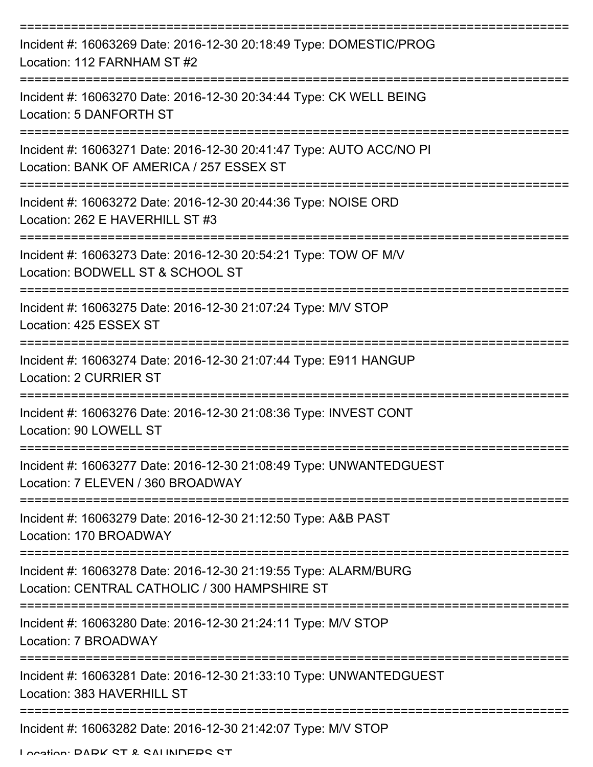| Incident #: 16063269 Date: 2016-12-30 20:18:49 Type: DOMESTIC/PROG<br>Location: 112 FARNHAM ST #2                       |
|-------------------------------------------------------------------------------------------------------------------------|
| Incident #: 16063270 Date: 2016-12-30 20:34:44 Type: CK WELL BEING<br>Location: 5 DANFORTH ST                           |
| Incident #: 16063271 Date: 2016-12-30 20:41:47 Type: AUTO ACC/NO PI<br>Location: BANK OF AMERICA / 257 ESSEX ST         |
| Incident #: 16063272 Date: 2016-12-30 20:44:36 Type: NOISE ORD<br>Location: 262 E HAVERHILL ST #3                       |
| Incident #: 16063273 Date: 2016-12-30 20:54:21 Type: TOW OF M/V<br>Location: BODWELL ST & SCHOOL ST                     |
| Incident #: 16063275 Date: 2016-12-30 21:07:24 Type: M/V STOP<br>Location: 425 ESSEX ST                                 |
| Incident #: 16063274 Date: 2016-12-30 21:07:44 Type: E911 HANGUP<br><b>Location: 2 CURRIER ST</b>                       |
| Incident #: 16063276 Date: 2016-12-30 21:08:36 Type: INVEST CONT<br>Location: 90 LOWELL ST                              |
| Incident #: 16063277 Date: 2016-12-30 21:08:49 Type: UNWANTEDGUEST<br>Location: 7 ELEVEN / 360 BROADWAY                 |
| Incident #: 16063279 Date: 2016-12-30 21:12:50 Type: A&B PAST<br>Location: 170 BROADWAY                                 |
| Incident #: 16063278 Date: 2016-12-30 21:19:55 Type: ALARM/BURG<br>Location: CENTRAL CATHOLIC / 300 HAMPSHIRE ST        |
| ------------------------------<br>Incident #: 16063280 Date: 2016-12-30 21:24:11 Type: M/V STOP<br>Location: 7 BROADWAY |
| Incident #: 16063281 Date: 2016-12-30 21:33:10 Type: UNWANTEDGUEST<br>Location: 383 HAVERHILL ST                        |
| Incident #: 16063282 Date: 2016-12-30 21:42:07 Type: M/V STOP                                                           |

Location: DADK CT & CALINDEDC CT